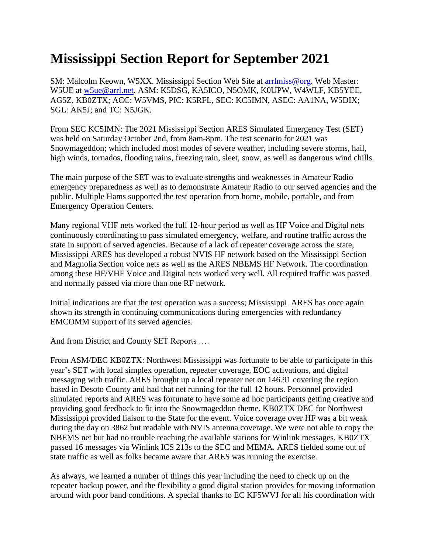## **Mississippi Section Report for September 2021**

SM: Malcolm Keown, W5XX. Mississippi Section Web Site at [arrlmiss@org.](mailto:arrlmiss@org) Web Master: W5UE at [w5ue@arrl.net.](mailto:w5ue@arrl.net) ASM: K5DSG, KA5ICO, N5OMK, K0UPW, W4WLF, KB5YEE, AG5Z, KB0ZTX; ACC: W5VMS, PIC: K5RFL, SEC: KC5IMN, ASEC: AA1NA, W5DIX; SGL: AK5J; and TC: N5JGK.

From SEC KC5IMN: The 2021 Mississippi Section ARES Simulated Emergency Test (SET) was held on Saturday October 2nd, from 8am-8pm. The test scenario for 2021 was Snowmageddon; which included most modes of severe weather, including severe storms, hail, high winds, tornados, flooding rains, freezing rain, sleet, snow, as well as dangerous wind chills.

The main purpose of the SET was to evaluate strengths and weaknesses in Amateur Radio emergency preparedness as well as to demonstrate Amateur Radio to our served agencies and the public. Multiple Hams supported the test operation from home, mobile, portable, and from Emergency Operation Centers.

Many regional VHF nets worked the full 12-hour period as well as HF Voice and Digital nets continuously coordinating to pass simulated emergency, welfare, and routine traffic across the state in support of served agencies. Because of a lack of repeater coverage across the state, Mississippi ARES has developed a robust NVIS HF network based on the Mississippi Section and Magnolia Section voice nets as well as the ARES NBEMS HF Network. The coordination among these HF/VHF Voice and Digital nets worked very well. All required traffic was passed and normally passed via more than one RF network.

Initial indications are that the test operation was a success; Mississippi ARES has once again shown its strength in continuing communications during emergencies with redundancy EMCOMM support of its served agencies.

And from District and County SET Reports ….

From ASM/DEC KB0ZTX: Northwest Mississippi was fortunate to be able to participate in this year's SET with local simplex operation, repeater coverage, EOC activations, and digital messaging with traffic. ARES brought up a local repeater net on 146.91 covering the region based in Desoto County and had that net running for the full 12 hours. Personnel provided simulated reports and ARES was fortunate to have some ad hoc participants getting creative and providing good feedback to fit into the Snowmageddon theme. KB0ZTX DEC for Northwest Mississippi provided liaison to the State for the event. Voice coverage over HF was a bit weak during the day on 3862 but readable with NVIS antenna coverage. We were not able to copy the NBEMS net but had no trouble reaching the available stations for Winlink messages. KB0ZTX passed 16 messages via Winlink ICS 213s to the SEC and MEMA. ARES fielded some out of state traffic as well as folks became aware that ARES was running the exercise.

As always, we learned a number of things this year including the need to check up on the repeater backup power, and the flexibility a good digital station provides for moving information around with poor band conditions. A special thanks to EC KF5WVJ for all his coordination with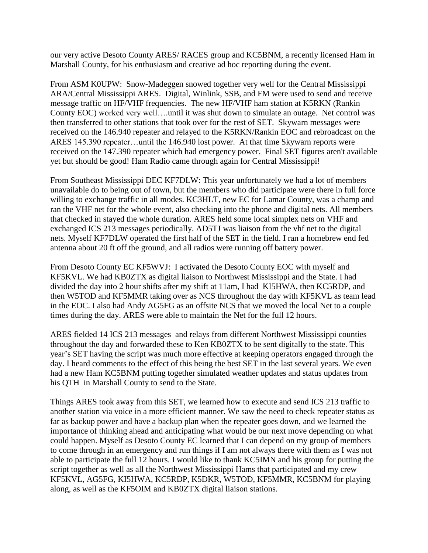our very active Desoto County ARES/ RACES group and KC5BNM, a recently licensed Ham in Marshall County, for his enthusiasm and creative ad hoc reporting during the event.

From ASM K0UPW: Snow-Madeggen snowed together very well for the Central Mississippi ARA/Central Mississippi ARES. Digital, Winlink, SSB, and FM were used to send and receive message traffic on HF/VHF frequencies. The new HF/VHF ham station at K5RKN (Rankin County EOC) worked very well….until it was shut down to simulate an outage. Net control was then transferred to other stations that took over for the rest of SET. Skywarn messages were received on the 146.940 repeater and relayed to the K5RKN/Rankin EOC and rebroadcast on the ARES 145.390 repeater…until the 146.940 lost power. At that time Skywarn reports were received on the 147.390 repeater which had emergency power. Final SET figures aren't available yet but should be good! Ham Radio came through again for Central Mississippi!

From Southeast Mississippi DEC KF7DLW: This year unfortunately we had a lot of members unavailable do to being out of town, but the members who did participate were there in full force willing to exchange traffic in all modes. KC3HLT, new EC for Lamar County, was a champ and ran the VHF net for the whole event, also checking into the phone and digital nets. All members that checked in stayed the whole duration. ARES held some local simplex nets on VHF and exchanged ICS 213 messages periodically. AD5TJ was liaison from the vhf net to the digital nets. Myself KF7DLW operated the first half of the SET in the field. I ran a homebrew end fed antenna about 20 ft off the ground, and all radios were running off battery power.

From Desoto County EC KF5WVJ: I activated the Desoto County EOC with myself and KF5KVL. We had KB0ZTX as digital liaison to Northwest Mississippi and the State. I had divided the day into 2 hour shifts after my shift at 11am, I had KI5HWA, then KC5RDP, and then W5TOD and KF5MMR taking over as NCS throughout the day with KF5KVL as team lead in the EOC. I also had Andy AG5FG as an offsite NCS that we moved the local Net to a couple times during the day. ARES were able to maintain the Net for the full 12 hours.

ARES fielded 14 ICS 213 messages and relays from different Northwest Mississippi counties throughout the day and forwarded these to Ken KB0ZTX to be sent digitally to the state. This year's SET having the script was much more effective at keeping operators engaged through the day. I heard comments to the effect of this being the best SET in the last several years. We even had a new Ham KC5BNM putting together simulated weather updates and status updates from his QTH in Marshall County to send to the State.

Things ARES took away from this SET, we learned how to execute and send ICS 213 traffic to another station via voice in a more efficient manner. We saw the need to check repeater status as far as backup power and have a backup plan when the repeater goes down, and we learned the importance of thinking ahead and anticipating what would be our next move depending on what could happen. Myself as Desoto County EC learned that I can depend on my group of members to come through in an emergency and run things if I am not always there with them as I was not able to participate the full 12 hours. I would like to thank KC5IMN and his group for putting the script together as well as all the Northwest Mississippi Hams that participated and my crew KF5KVL, AG5FG, KI5HWA, KC5RDP, K5DKR, W5TOD, KF5MMR, KC5BNM for playing along, as well as the KF5OIM and KB0ZTX digital liaison stations.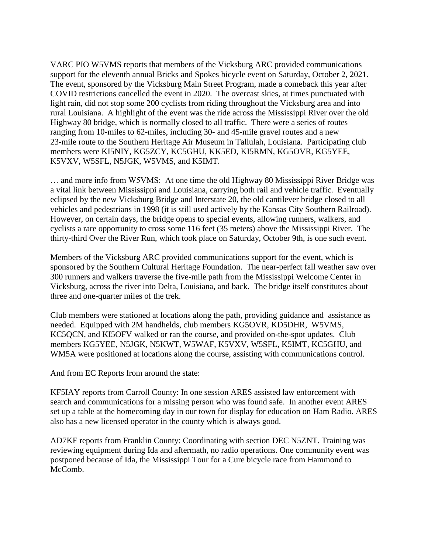VARC PIO W5VMS reports that members of the Vicksburg ARC provided communications support for the eleventh annual Bricks and Spokes bicycle event on Saturday, October 2, 2021. The event, sponsored by the Vicksburg Main Street Program, made a comeback this year after COVID restrictions cancelled the event in 2020. The overcast skies, at times punctuated with light rain, did not stop some 200 cyclists from riding throughout the Vicksburg area and into rural Louisiana. A highlight of the event was the ride across the Mississippi River over the old Highway 80 bridge, which is normally closed to all traffic. There were a series of routes ranging from 10-miles to 62-miles, including 30- and 45-mile gravel routes and a new 23-mile route to the Southern Heritage Air Museum in Tallulah, Louisiana. Participating club members were KI5NIY, KG5ZCY, KC5GHU, KK5ED, KI5RMN, KG5OVR, KG5YEE, K5VXV, W5SFL, N5JGK, W5VMS, and K5IMT.

… and more info from W5VMS: At one time the old Highway 80 Mississippi River Bridge was a vital link between Mississippi and Louisiana, carrying both rail and vehicle traffic. Eventually eclipsed by the new Vicksburg Bridge and Interstate 20, the old cantilever bridge closed to all vehicles and pedestrians in 1998 (it is still used actively by the Kansas City Southern Railroad). However, on certain days, the bridge opens to special events, allowing runners, walkers, and cyclists a rare opportunity to cross some 116 feet (35 meters) above the Mississippi River. The thirty-third Over the River Run, which took place on Saturday, October 9th, is one such event.

Members of the Vicksburg ARC provided communications support for the event, which is sponsored by the Southern Cultural Heritage Foundation. The near-perfect fall weather saw over 300 runners and walkers traverse the five-mile path from the Mississippi Welcome Center in Vicksburg, across the river into Delta, Louisiana, and back. The bridge itself constitutes about three and one-quarter miles of the trek.

Club members were stationed at locations along the path, providing guidance and assistance as needed. Equipped with 2M handhelds, club members KG5OVR, KD5DHR, W5VMS, KC5QCN, and KI5OFV walked or ran the course, and provided on-the-spot updates. Club members KG5YEE, N5JGK, N5KWT, W5WAF, K5VXV, W5SFL, K5IMT, KC5GHU, and WM5A were positioned at locations along the course, assisting with communications control.

And from EC Reports from around the state:

KF5IAY reports from Carroll County: In one session ARES assisted law enforcement with search and communications for a missing person who was found safe. In another event ARES set up a table at the homecoming day in our town for display for education on Ham Radio. ARES also has a new licensed operator in the county which is always good.

AD7KF reports from Franklin County: Coordinating with section DEC N5ZNT. Training was reviewing equipment during Ida and aftermath, no radio operations. One community event was postponed because of Ida, the Mississippi Tour for a Cure bicycle race from Hammond to McComb.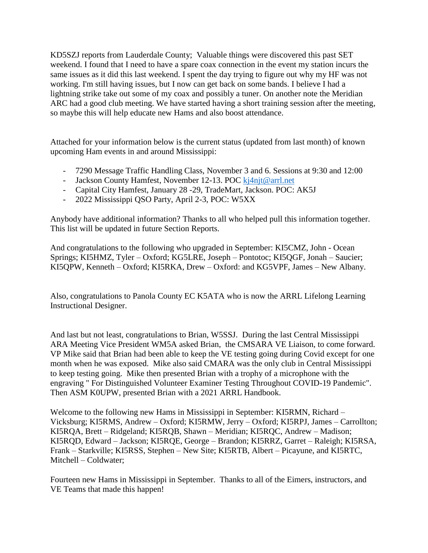KD5SZJ reports from Lauderdale County; Valuable things were discovered this past SET weekend. I found that I need to have a spare coax connection in the event my station incurs the same issues as it did this last weekend. I spent the day trying to figure out why my HF was not working. I'm still having issues, but I now can get back on some bands. I believe I had a lightning strike take out some of my coax and possibly a tuner. On another note the Meridian ARC had a good club meeting. We have started having a short training session after the meeting, so maybe this will help educate new Hams and also boost attendance.

Attached for your information below is the current status (updated from last month) of known upcoming Ham events in and around Mississippi:

- 7290 Message Traffic Handling Class, November 3 and 6. Sessions at 9:30 and 12:00
- Jackson County Hamfest, November 12-13. POC [kj4njt@arrl.net](mailto:kj4njt@arrl.net)
- Capital City Hamfest, January 28 -29, TradeMart, Jackson. POC: AK5J
- 2022 Mississippi QSO Party, April 2-3, POC: W5XX

Anybody have additional information? Thanks to all who helped pull this information together. This list will be updated in future Section Reports.

And congratulations to the following who upgraded in September: KI5CMZ, John - Ocean Springs; KI5HMZ, Tyler – Oxford; KG5LRE, Joseph – Pontotoc; KI5QGF, Jonah – Saucier; KI5QPW, Kenneth – Oxford; KI5RKA, Drew – Oxford: and KG5VPF, James – New Albany.

Also, congratulations to Panola County EC K5ATA who is now the ARRL Lifelong Learning Instructional Designer.

And last but not least, congratulations to Brian, W5SSJ. During the last Central Mississippi ARA Meeting Vice President WM5A asked Brian, the CMSARA VE Liaison, to come forward. VP Mike said that Brian had been able to keep the VE testing going during Covid except for one month when he was exposed. Mike also said CMARA was the only club in Central Mississippi to keep testing going. Mike then presented Brian with a trophy of a microphone with the engraving " For Distinguished Volunteer Examiner Testing Throughout COVID-19 Pandemic". Then ASM K0UPW, presented Brian with a 2021 ARRL Handbook.

Welcome to the following new Hams in Mississippi in September: KI5RMN, Richard – Vicksburg; KI5RMS, Andrew – Oxford; KI5RMW, Jerry – Oxford; KI5RPJ, James – Carrollton; KI5RQA, Brett – Ridgeland; KI5RQB, Shawn – Meridian; KI5RQC, Andrew – Madison; KI5RQD, Edward – Jackson; KI5RQE, George – Brandon; KI5RRZ, Garret – Raleigh; KI5RSA, Frank – Starkville; KI5RSS, Stephen – New Site; KI5RTB, Albert – Picayune, and KI5RTC, Mitchell – Coldwater;

Fourteen new Hams in Mississippi in September. Thanks to all of the Eimers, instructors, and VE Teams that made this happen!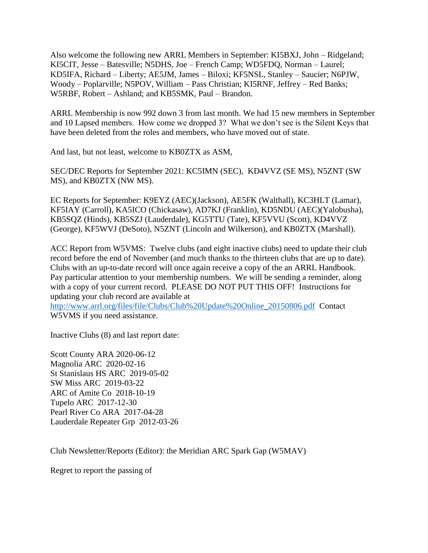Also welcome the following new ARRL Members in September: KI5BXJ, John – Ridgeland; KI5CIT, Jesse – Batesville; N5DHS, Joe – French Camp; WD5FDQ, Norman – Laurel; KD5IFA, Richard – Liberty; AE5JM, James – Biloxi; KF5NSL, Stanley – Saucier; N6PJW, Woody – Poplarville; N5POV, William – Pass Christian; KI5RNF, Jeffrey – Red Banks; W5RBF, Robert – Ashland; and KB5SMK, Paul – Brandon.

ARRL Membership is now 992 down 3 from last month. We had 15 new members in September and 10 Lapsed members. How come we dropped 3? What we don't see is the Silent Keys that have been deleted from the roles and members, who have moved out of state.

And last, but not least, welcome to KB0ZTX as ASM,

SEC/DEC Reports for September 2021: KC5IMN (SEC), KD4VVZ (SE MS), N5ZNT (SW MS), and KB0ZTX (NW MS).

EC Reports for September: K9EYZ (AEC)(Jackson), AE5FK (Walthall), KC3HLT (Lamar), KF5IAY (Carroll), KA5ICO (Chickasaw), AD7KJ (Franklin), KD5NDU (AEC)(Yalobusha), KB5SQZ (Hinds), KB5SZJ (Lauderdale), KG5TTU (Tate), KF5VVU (Scott), KD4VVZ (George), KF5WVJ (DeSoto), N5ZNT (Lincoln and Wilkerson), and KB0ZTX (Marshall).

ACC Report from W5VMS: Twelve clubs (and eight inactive clubs) need to update their club record before the end of November (and much thanks to the thirteen clubs that are up to date). Clubs with an up-to-date record will once again receive a copy of the an ARRL Handbook. Pay particular attention to your membership numbers. We will be sending a reminder, along with a copy of your current record. PLEASE DO NOT PUT THIS OFF! Instructions for updating your club record are available at

[http://www.arrl.org/files/file/Clubs/Club%20Update%20Online\\_20150806.pdf](http://www.arrl.org/files/file/Clubs/Club%20Update%20Online_20150806.pdf) Contact W5VMS if you need assistance.

Inactive Clubs (8) and last report date:

Scott County ARA 2020-06-12 Magnolia ARC 2020-02-16 St Stanislaus HS ARC 2019-05-02 SW Miss ARC 2019-03-22 ARC of Amite Co 2018-10-19 Tupelo ARC 2017-12-30 Pearl River Co ARA 2017-04-28 Lauderdale Repeater Grp 2012-03-26

Club Newsletter/Reports (Editor): the Meridian ARC Spark Gap (W5MAV)

Regret to report the passing of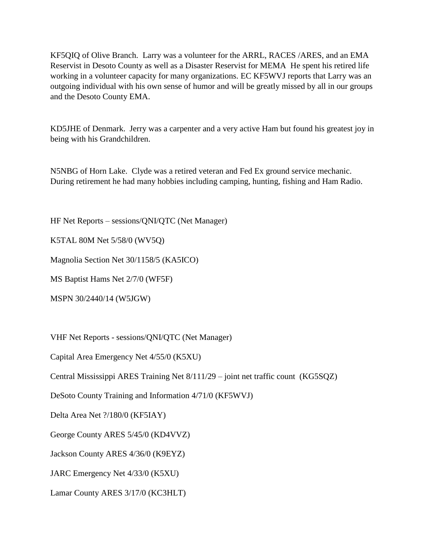KF5QIQ of Olive Branch. Larry was a volunteer for the ARRL, RACES /ARES, and an EMA Reservist in Desoto County as well as a Disaster Reservist for MEMA He spent his retired life working in a volunteer capacity for many organizations. EC KF5WVJ reports that Larry was an outgoing individual with his own sense of humor and will be greatly missed by all in our groups and the Desoto County EMA.

KD5JHE of Denmark. Jerry was a carpenter and a very active Ham but found his greatest joy in being with his Grandchildren.

N5NBG of Horn Lake. Clyde was a retired veteran and Fed Ex ground service mechanic. During retirement he had many hobbies including camping, hunting, fishing and Ham Radio.

HF Net Reports – sessions/QNI/QTC (Net Manager)

K5TAL 80M Net 5/58/0 (WV5Q)

Magnolia Section Net 30/1158/5 (KA5ICO)

MS Baptist Hams Net 2/7/0 (WF5F)

MSPN 30/2440/14 (W5JGW)

VHF Net Reports - sessions/QNI/QTC (Net Manager)

Capital Area Emergency Net 4/55/0 (K5XU)

Central Mississippi ARES Training Net 8/111/29 – joint net traffic count (KG5SQZ)

DeSoto County Training and Information 4/71/0 (KF5WVJ)

Delta Area Net ?/180/0 (KF5IAY)

George County ARES 5/45/0 (KD4VVZ)

Jackson County ARES 4/36/0 (K9EYZ)

JARC Emergency Net 4/33/0 (K5XU)

Lamar County ARES 3/17/0 (KC3HLT)